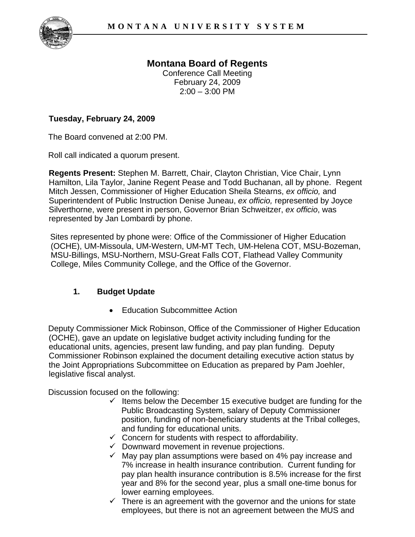

# **Montana Board of Regents**

Conference Call Meeting February 24, 2009  $2:00 - 3:00$  PM

### **Tuesday, February 24, 2009**

The Board convened at 2:00 PM.

Roll call indicated a quorum present.

**Regents Present:** Stephen M. Barrett, Chair, Clayton Christian, Vice Chair, Lynn Hamilton, Lila Taylor, Janine Regent Pease and Todd Buchanan, all by phone. Regent Mitch Jessen, Commissioner of Higher Education Sheila Stearns, *ex officio,* and Superintendent of Public Instruction Denise Juneau, *ex officio,* represented by Joyce Silverthorne, were present in person, Governor Brian Schweitzer, *ex officio*, was represented by Jan Lombardi by phone.

Sites represented by phone were: Office of the Commissioner of Higher Education (OCHE), UM-Missoula, UM-Western, UM-MT Tech, UM-Helena COT, MSU-Bozeman, MSU-Billings, MSU-Northern, MSU-Great Falls COT, Flathead Valley Community College, Miles Community College, and the Office of the Governor.

#### **1. Budget Update**

• Education Subcommittee Action

Deputy Commissioner Mick Robinson, Office of the Commissioner of Higher Education (OCHE), gave an update on legislative budget activity including funding for the educational units, agencies, present law funding, and pay plan funding. Deputy Commissioner Robinson explained the document detailing executive action status by the Joint Appropriations Subcommittee on Education as prepared by Pam Joehler, legislative fiscal analyst.

Discussion focused on the following:

- $\checkmark$  Items below the December 15 executive budget are funding for the Public Broadcasting System, salary of Deputy Commissioner position, funding of non-beneficiary students at the Tribal colleges, and funding for educational units.
- $\checkmark$  Concern for students with respect to affordability.
- $\checkmark$  Downward movement in revenue projections.
- $\checkmark$  May pay plan assumptions were based on 4% pay increase and 7% increase in health insurance contribution. Current funding for pay plan health insurance contribution is 8.5% increase for the first year and 8% for the second year, plus a small one-time bonus for lower earning employees.
- $\checkmark$  There is an agreement with the governor and the unions for state employees, but there is not an agreement between the MUS and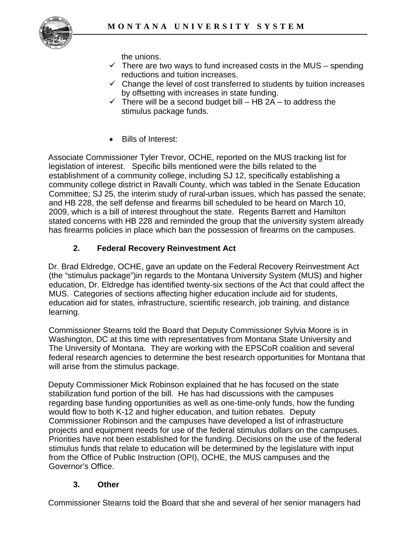

the unions.

- $\checkmark$  There are two ways to fund increased costs in the MUS spending reductions and tuition increases.
- $\checkmark$  Change the level of cost transferred to students by tuition increases by offsetting with increases in state funding.
- $\checkmark$  There will be a second budget bill HB 2A to address the stimulus package funds.
- Bills of Interest:

Associate Commissioner Tyler Trevor, OCHE, reported on the MUS tracking list for legislation of interest. Specific bills mentioned were the bills related to the establishment of a community college, including SJ 12, specifically establishing a community college district in Ravalli County, which was tabled in the Senate Education Committee; SJ 25, the interim study of rural-urban issues, which has passed the senate; and HB 228, the self defense and firearms bill scheduled to be heard on March 10, 2009, which is a bill of interest throughout the state. Regents Barrett and Hamilton stated concerns with HB 228 and reminded the group that the university system already has firearms policies in place which ban the possession of firearms on the campuses.

## **2. Federal Recovery Reinvestment Act**

Dr. Brad Eldredge, OCHE, gave an update on the Federal Recovery Reinvestment Act (the "stimulus package")in regards to the Montana University System (MUS) and higher education, Dr. Eldredge has identified twenty-six sections of the Act that could affect the MUS. Categories of sections affecting higher education include aid for students, education aid for states, infrastructure, scientific research, job training, and distance learning.

Commissioner Stearns told the Board that Deputy Commissioner Sylvia Moore is in Washington, DC at this time with representatives from Montana State University and The University of Montana. They are working with the EPSCoR coalition and several federal research agencies to determine the best research opportunities for Montana that will arise from the stimulus package.

Deputy Commissioner Mick Robinson explained that he has focused on the state stabilization fund portion of the bill. He has had discussions with the campuses regarding base funding opportunities as well as one-time-only funds, how the funding would flow to both K-12 and higher education, and tuition rebates. Deputy Commissioner Robinson and the campuses have developed a list of infrastructure projects and equipment needs for use of the federal stimulus dollars on the campuses. Priorities have not been established for the funding. Decisions on the use of the federal stimulus funds that relate to education will be determined by the legislature with input from the Office of Public Instruction (OPI), OCHE, the MUS campuses and the Governor's Office.

## **3. Other**

Commissioner Stearns told the Board that she and several of her senior managers had